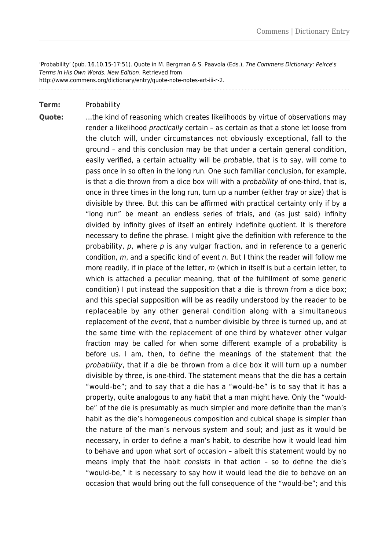'Probability' (pub. 16.10.15-17:51). Quote in M. Bergman & S. Paavola (Eds.), The Commens Dictionary: Peirce's Terms in His Own Words. New Edition. Retrieved from http://www.commens.org/dictionary/entry/quote-note-notes-art-iii-r-2.

## **Term:** Probability

**Quote:** …the kind of reasoning which creates likelihoods by virtue of observations may render a likelihood practically certain – as certain as that a stone let loose from the clutch will, under circumstances not obviously exceptional, fall to the ground – and this conclusion may be that under a certain general condition, easily verified, a certain actuality will be probable, that is to say, will come to pass once in so often in the long run. One such familiar conclusion, for example, is that a die thrown from a dice box will with a probability of one-third, that is, once in three times in the long run, turn up a number (either tray or size) that is divisible by three. But this can be affirmed with practical certainty only if by a "long run" be meant an endless series of trials, and (as just said) infinity divided by infinity gives of itself an entirely indefinite quotient. It is therefore necessary to define the phrase. I might give the definition with reference to the probability,  $p$ , where  $p$  is any vulgar fraction, and in reference to a generic condition,  $m$ , and a specific kind of event n. But I think the reader will follow me more readily, if in place of the letter, m (which in itself is but a certain letter, to which is attached a peculiar meaning, that of the fulfillment of some generic condition) I put instead the supposition that a die is thrown from a dice box; and this special supposition will be as readily understood by the reader to be replaceable by any other general condition along with a simultaneous replacement of the event, that a number divisible by three is turned up, and at the same time with the replacement of one third by whatever other vulgar fraction may be called for when some different example of a probability is before us. I am, then, to define the meanings of the statement that the probability, that if a die be thrown from a dice box it will turn up a number divisible by three, is one-third. The statement means that the die has a certain "would-be"; and to say that a die has a "would-be" is to say that it has a property, quite analogous to any habit that a man might have. Only the "wouldbe" of the die is presumably as much simpler and more definite than the man's habit as the die's homogeneous composition and cubical shape is simpler than the nature of the man's nervous system and soul; and just as it would be necessary, in order to define a man's habit, to describe how it would lead him to behave and upon what sort of occasion – albeit this statement would by no means imply that the habit *consists* in that action - so to define the die's "would-be," it is necessary to say how it would lead the die to behave on an occasion that would bring out the full consequence of the "would-be"; and this